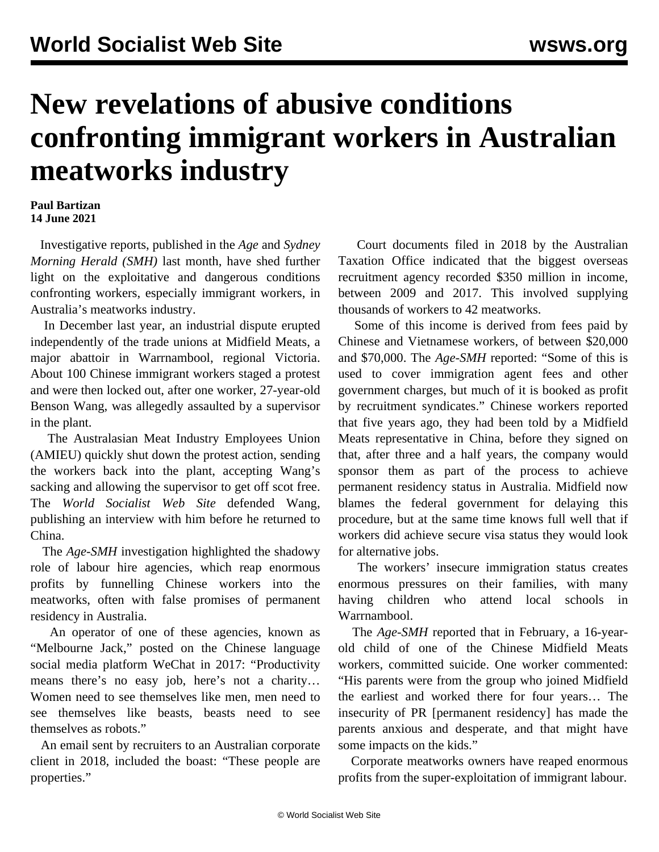## **New revelations of abusive conditions confronting immigrant workers in Australian meatworks industry**

## **Paul Bartizan 14 June 2021**

 Investigative reports, published in the *Age* and *Sydney Morning Herald (SMH)* last month, have shed further light on the exploitative and dangerous conditions confronting workers, especially immigrant workers, in Australia's meatworks industry.

 In December last year, an industrial dispute erupted independently of the trade unions at Midfield Meats, a major abattoir in Warrnambool, regional Victoria. About 100 Chinese immigrant workers staged a protest and were then locked out, after one worker, 27-year-old Benson Wang, was allegedly assaulted by a supervisor in the plant.

 The Australasian Meat Industry Employees Union (AMIEU) quickly shut down the protest action, sending the workers back into the plant, accepting Wang's sacking and allowing the supervisor to get off scot free. The *World Socialist Web Site* defended Wang, publishing an [interview](/en/articles/2021/01/14/wang-j14.html) with him before he returned to China.

 The *Age*-*SMH* investigation highlighted the shadowy role of labour hire agencies, which reap enormous profits by funnelling Chinese workers into the meatworks, often with false promises of permanent residency in Australia.

 An operator of one of these agencies, known as "Melbourne Jack," posted on the Chinese language social media platform WeChat in 2017: "Productivity means there's no easy job, here's not a charity… Women need to see themselves like men, men need to see themselves like beasts, beasts need to see themselves as robots."

 An email sent by recruiters to an Australian corporate client in 2018, included the boast: "These people are properties."

 Court documents filed in 2018 by the Australian Taxation Office indicated that the biggest overseas recruitment agency recorded \$350 million in income, between 2009 and 2017. This involved supplying thousands of workers to 42 meatworks.

 Some of this income is derived from fees paid by Chinese and Vietnamese workers, of between \$20,000 and \$70,000. The *Age-SMH* reported: "Some of this is used to cover immigration agent fees and other government charges, but much of it is booked as profit by recruitment syndicates." Chinese workers reported that five years ago, they had been told by a Midfield Meats representative in China, before they signed on that, after three and a half years, the company would sponsor them as part of the process to achieve permanent residency status in Australia. Midfield now blames the federal government for delaying this procedure, but at the same time knows full well that if workers did achieve secure visa status they would look for alternative jobs.

 The workers' insecure immigration status creates enormous pressures on their families, with many having children who attend local schools in Warrnambool.

 The *Age-SMH* reported that in February, a 16-yearold child of one of the Chinese Midfield Meats workers, committed suicide. One worker commented: "His parents were from the group who joined Midfield the earliest and worked there for four years… The insecurity of PR [permanent residency] has made the parents anxious and desperate, and that might have some impacts on the kids."

 Corporate meatworks owners have reaped enormous profits from the super-exploitation of immigrant labour.